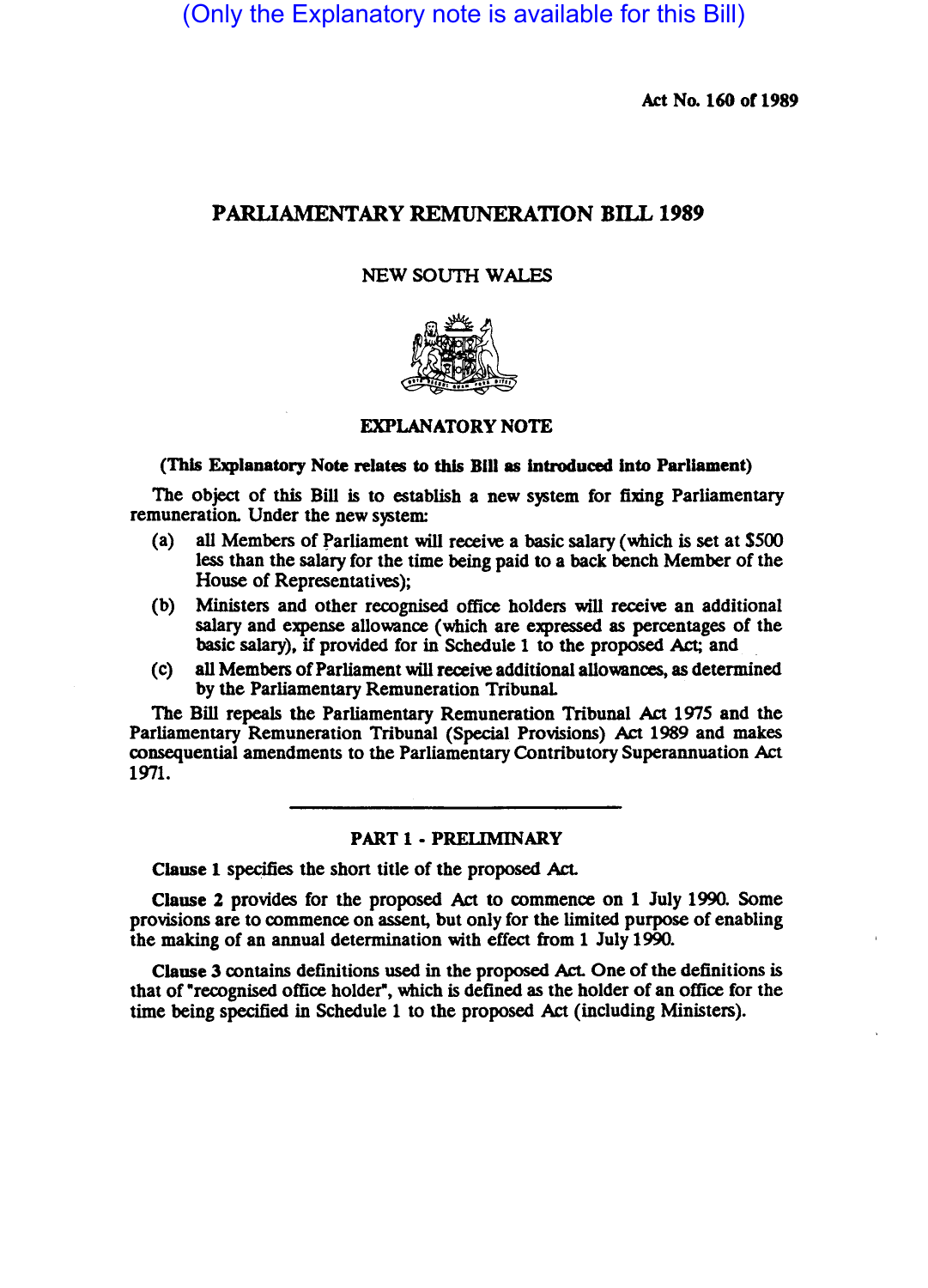(Only the Explanatory note is available for this Bill)

Act No. 160 of 1989

# PARLIAMENTARY REMUNERATION BILL 1989

## NEW SOUTH WALES



### EXPLANATORY NOTE

## (This Explanatory Note relates to this Bill as introduced into Parliament)

The object of this Bill is to establish a new system for fixing Parliamentary remuneration. Under the new system:

- (a) all Members of parliament will receive a basic salary (which is set at \$500 less than the salary for the time being paid to a back bench Member of the House of Representatives);
- (b) Ministers and other recognised office holders will receive an additional salary and expense allowance (which are expressed as percentages of the basic salary), if provided for in Schedule 1 to the proposed Act; and.
- (c) all Members of Parliament will receive additional allowances, as determined by the Parliamentary Remuneration Tribunal

The Bill repeals the Parliamentary Remuneration Tribunal Act 1975 and the Parliamentary Remuneration Tribunal (Special Provisions) Act 1989 and makes consequential amendments to the Parliamentary Contributory Superannuation Act 1971.

### PART 1 - PRELIMINARY

Clause 1 specifies the short title of the proposed Act.

Clause 2 provides for the proposed Act to commence on 1 July 1990. Some provisions are to commence on assent, but only for the limited purpose of enabling the making of an annual determination with effect from 1 July 1990.

Clause 3 contains definitions used in the proposed Act. One of the definitions is that of "recognised office holder", which is defined as the holder of an office for the time being specified in Schedule 1 to the proposed Act (including Ministers).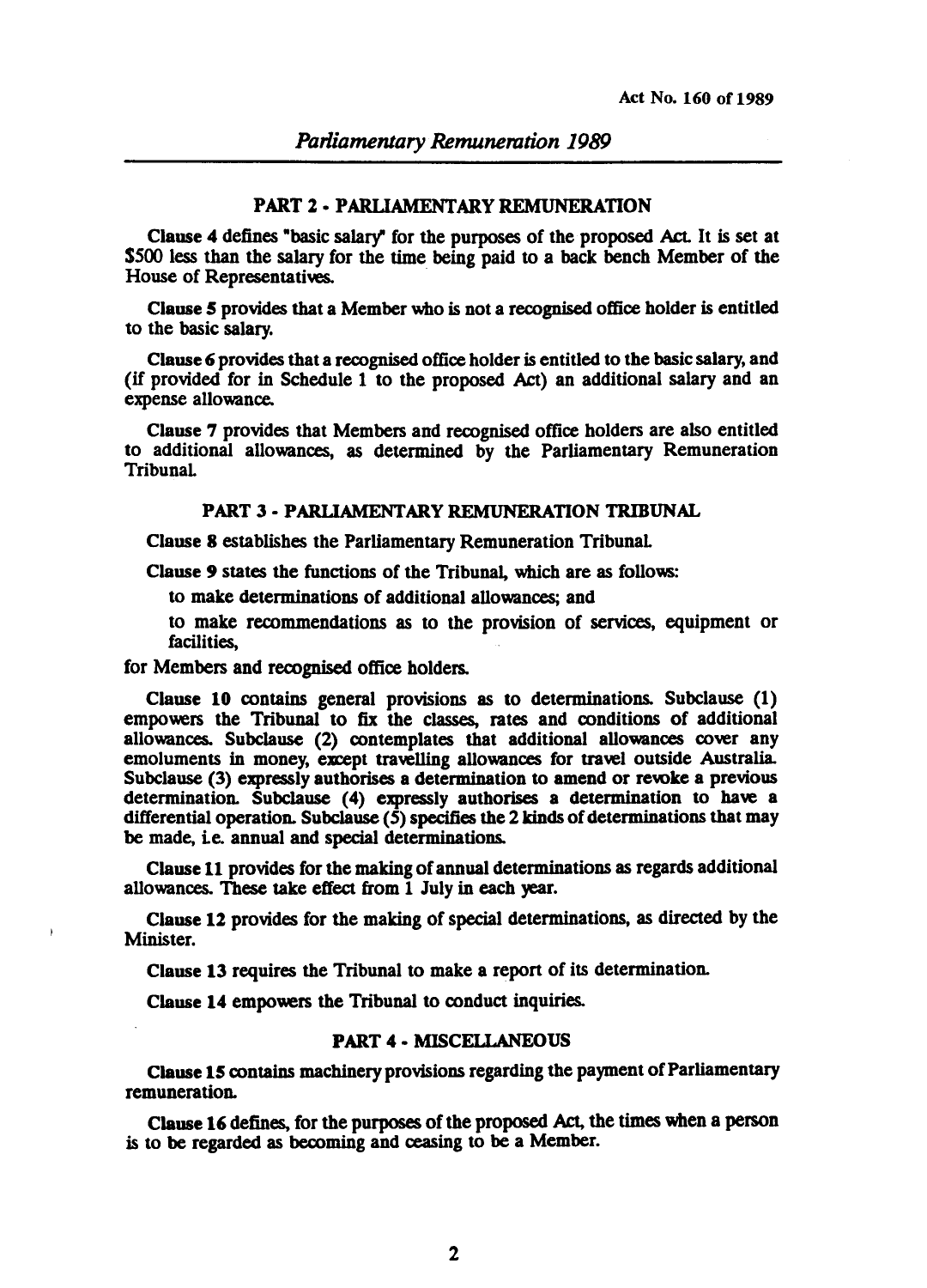## PART 2 • PARUAMENTARY REMUNERATION

Clause 4 defines "basic salary" for the purposes of the proposed Act. It is set at \$500 less than the salary for the time being paid to a back bench Member of the House of Representatives.

Clause 5 provides that a Member who is not a recognised office holder is entitled to the basic salary.

Clause 6 provides that a recognised office holder is entitled to the basic salary, and (if provided for in Schedule 1 to the proposed Act) an additional salary and an expense allowance.

Clause 7 provides that Members and recognised office holders are also entitled to additional allowances, as determined by the Parliamentary Remuneration Tribunal

## PART 3 • PARUAMENTARY REMUNERATION TRIBUNAL

Clause 8 establishes the Parliamentary Remuneration Tribunal

Clause 9 states the functions of the Tribunal, which are as follows:

to make determinations of additional allowances; and

to make recommendations as to the provision of services, equipment or facilities, .

for Members and recognised office holders.

Clause 10 contains general provisions as to determinations. Subclause (1) empowers the Tribunal to fix the classes, rates and conditions of additional allowances. Subclause (2) contemplates that additional allowances cover any emoluments in money, except travelling allowances for travel outside Australia. SUbclause (3) expressly authorises a determination to amend or revoke a previous determination. Subclause (4) expressly authorises a determination to have a differential operation. Subclause *(S)* specifies the 2 kinds of determinations that may be made, i.e. annual and special determinations.

Clause 11 provides for the making of annual determinations as regards additional allowances. These take effect from 1 July in each year.

Clause 12 provides for the making of special determinations, as directed by the Minister.

Clause 13 requires the Tribunal to make a repon of its determination.

Clause 14 empowers the Tribunal to conduct inquiries.

# PART 4 • MISCELLANEOUS

Clause 15 contains machinery provisions regarding the payment of Parliamentary remuneration.

Clause 16 defines, for the purposes of the proposed Act, the times when a person is to be regarded as becoming and ceasing to be a Member.